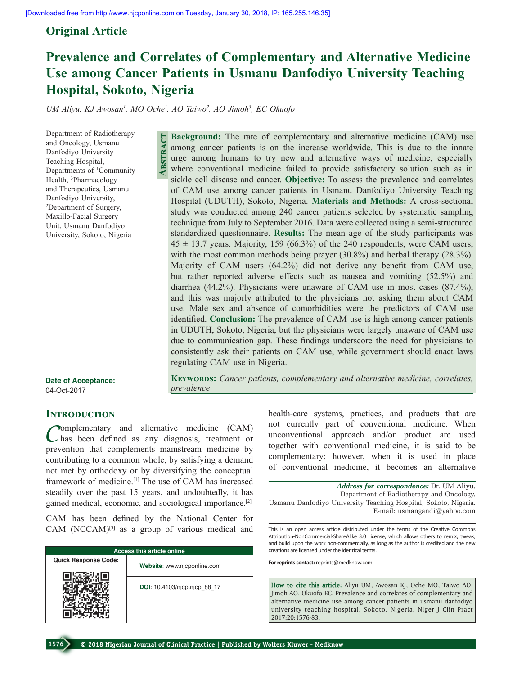# **Original Article**

# **Prevalence and Correlates of Complementary and Alternative Medicine Use among Cancer Patients in Usmanu Danfodiyo University Teaching Hospital, Sokoto, Nigeria**

UM Aliyu, KJ Awosan<sup>1</sup>, MO Oche<sup>1</sup>, AO Taiwo<sup>2</sup>, AO Jimoh<sup>3</sup>, EC Okuofo

**Abstract**

Department of Radiotherapy and Oncology, Usmanu Danfodiyo University Teaching Hospital, Departments of <sup>1</sup>Community Health, <sup>3</sup>Pharmacology and Therapeutics, Usmanu Danfodiyo University, 2 Department of Surgery, Maxillo‑Facial Surgery Unit, Usmanu Danfodiyo University, Sokoto, Nigeria

**Background:** The rate of complementary and alternative medicine (CAM) use among cancer patients is on the increase worldwide. This is due to the innate urge among humans to try new and alternative ways of medicine, especially where conventional medicine failed to provide satisfactory solution such as in sickle cell disease and cancer. **Objective:** To assess the prevalence and correlates of CAM use among cancer patients in Usmanu Danfodiyo University Teaching Hospital (UDUTH), Sokoto, Nigeria. **Materials and Methods:** A cross‑sectional study was conducted among 240 cancer patients selected by systematic sampling technique from July to September 2016. Data were collected using a semi‑structured standardized questionnaire. **Results:** The mean age of the study participants was  $45 \pm 13.7$  years. Majority, 159 (66.3%) of the 240 respondents, were CAM users, with the most common methods being prayer (30.8%) and herbal therapy (28.3%). Majority of CAM users (64.2%) did not derive any benefit from CAM use, but rather reported adverse effects such as nausea and vomiting (52.5%) and diarrhea (44.2%). Physicians were unaware of CAM use in most cases (87.4%), and this was majorly attributed to the physicians not asking them about CAM use. Male sex and absence of comorbidities were the predictors of CAM use identified. **Conclusion:** The prevalence of CAM use is high among cancer patients in UDUTH, Sokoto, Nigeria, but the physicians were largely unaware of CAM use due to communication gap. These findings underscore the need for physicians to consistently ask their patients on CAM use, while government should enact laws regulating CAM use in Nigeria.

KEYWORDS: Cancer patients, complementary and alternative medicine, correlates,

**Date of Acceptance:** 04-Oct-2017

# **INTRODUCTION**

**Pomplementary** and alternative medicine (CAM) has been defined as  any diagnosis, treatment or prevention that complements mainstream medicine by contributing to a common whole, by satisfying a demand not met by orthodoxy or by diversifying the conceptual framework of medicine.[1] The use of CAM has increased steadily over the past 15 years, and undoubtedly, it has gained medical, economic, and sociological importance.[2]

*prevalence*

CAM has been defined by the National Center for CAM (NCCAM)<sup>[3]</sup> as a group of various medical and

| <b>Access this article online</b> |                              |  |  |
|-----------------------------------|------------------------------|--|--|
| <b>Quick Response Code:</b>       | Website: www.njcponline.com  |  |  |
|                                   | DOI: 10.4103/njcp.njcp 88 17 |  |  |
|                                   |                              |  |  |

health–care systems, practices, and products that are not currently part of conventional medicine. When unconventional approach and/or product are used

together with conventional medicine, it is said to be complementary; however, when it is used in place of conventional medicine, it becomes an alternative

*Address for correspondence:* Dr. UM Aliyu, Department of Radiotherapy and Oncology, Usmanu Danfodiyo University Teaching Hospital, Sokoto, Nigeria. E‑mail: usmangandi@yahoo.com

This is an open access article distributed under the terms of the Creative Commons Attribution-NonCommercial-ShareAlike 3.0 License, which allows others to remix, tweak, and build upon the work non-commercially, as long as the author is credited and the new creations are licensed under the identical terms.

**For reprints contact:** reprints@medknow.com

**How to cite this article:** Aliyu UM, Awosan KJ, Oche MO, Taiwo AO, Jimoh AO, Okuofo EC. Prevalence and correlates of complementary and alternative medicine use among cancer patients in usmanu danfodiyo university teaching hospital, Sokoto, Nigeria. Niger J Clin Pract 2017;20:1576-83.

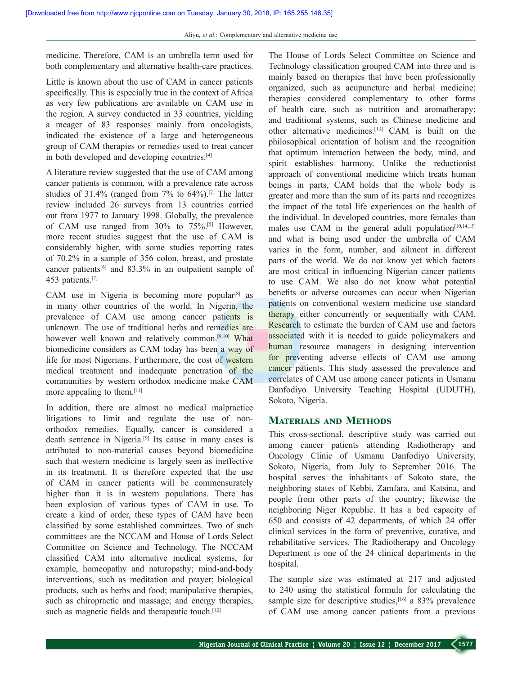medicine. Therefore, CAM is an umbrella term used for both complementary and alternative health-care practices.

Little is known about the use of CAM in cancer patients specifically. This is especially true in the context of Africa as very few publications are available on CAM use in the region. A survey conducted in 33 countries, yielding a meager of 83 responses mainly from oncologists, indicated the existence of a large and heterogeneous group of CAM therapies or remedies used to treat cancer in both developed and developing countries.[4]

A literature review suggested that the use of CAM among cancer patients is common, with a prevalence rate across studies of  $31.4\%$  (ranged from  $7\%$  to  $64\%$ ).<sup>[2]</sup> The latter review included 26 surveys from 13 countries carried out from 1977 to January 1998. Globally, the prevalence of CAM use ranged from 30% to 75%.[5] However, more recent studies suggest that the use of CAM is considerably higher, with some studies reporting rates of 70.2% in a sample of 356 colon, breast, and prostate cancer patients[6] and 83.3% in an outpatient sample of 453 patients.<sup>[7]</sup>

CAM use in Nigeria is becoming more popular<sup>[8]</sup> as in many other countries of the world. In Nigeria, the prevalence of CAM use among cancer patients is unknown. The use of traditional herbs and remedies are however well known and relatively common.<sup>[9,10]</sup> What biomedicine considers as CAM today has been a way of life for most Nigerians. Furthermore, the cost of western medical treatment and inadequate penetration of the communities by western orthodox medicine make CAM more appealing to them.[11]

In addition, there are almost no medical malpractice litigations to limit and regulate the use of nonorthodox remedies. Equally, cancer is considered a death sentence in Nigeria.[9] Its cause in many cases is attributed to non-material causes beyond biomedicine such that western medicine is largely seen as ineffective in its treatment. It is therefore expected that the use of CAM in cancer patients will be commensurately higher than it is in western populations. There has been explosion of various types of CAM in use. To create a kind of order, these types of CAM have been classified by some established committees. Two of such committees are the NCCAM and House of Lords Select Committee on Science and Technology. The NCCAM classified CAM into alternative medical systems, for example, homeopathy and naturopathy; mind-and-body interventions, such as meditation and prayer; biological products, such as herbs and food; manipulative therapies, such as chiropractic and massage; and energy therapies, such as magnetic fields and therapeutic touch.<sup>[12]</sup>

The House of Lords Select Committee on Science and Technology classification grouped CAM into three and is mainly based on therapies that have been professionally organized, such as acupuncture and herbal medicine; therapies considered complementary to other forms of health care, such as nutrition and aromatherapy; and traditional systems, such as Chinese medicine and other alternative medicines.[13] CAM is built on the philosophical orientation of holism and the recognition that optimum interaction between the body, mind, and spirit establishes harmony. Unlike the reductionist approach of conventional medicine which treats human beings in parts, CAM holds that the whole body is greater and more than the sum of its parts and recognizes the impact of the total life experiences on the health of the individual. In developed countries, more females than males use CAM in the general adult population<sup> $[10,14,15]$ </sup> and what is being used under the umbrella of CAM varies in the form, number, and ailment in different parts of the world. We do not know yet which factors are most critical in influencing Nigerian cancer patients to use CAM. We also do not know what potential benefits or adverse outcomes can occur when Nigerian patients on conventional western medicine use standard therapy either concurrently or sequentially with CAM. Research to estimate the burden of CAM use and factors associated with it is needed to guide policymakers and human resource managers in designing intervention for preventing adverse effects of CAM use among cancer patients. This study assessed the prevalence and correlates of CAM use among cancer patients in Usmanu Danfodiyo University Teaching Hospital (UDUTH), Sokoto, Nigeria.

# **Materials and Methods**

This cross-sectional, descriptive study was carried out among cancer patients attending Radiotherapy and Oncology Clinic of Usmanu Danfodiyo University, Sokoto, Nigeria, from July to September 2016. The hospital serves the inhabitants of Sokoto state, the neighboring states of Kebbi, Zamfara, and Katsina, and people from other parts of the country; likewise the neighboring Niger Republic. It has a bed capacity of 650 and consists of 42 departments, of which 24 offer clinical services in the form of preventive, curative, and rehabilitative services. The Radiotherapy and Oncology Department is one of the 24 clinical departments in the hospital.

The sample size was estimated at 217 and adjusted to 240 using the statistical formula for calculating the sample size for descriptive studies,<sup>[16]</sup> a 83% prevalence of CAM use among cancer patients from a previous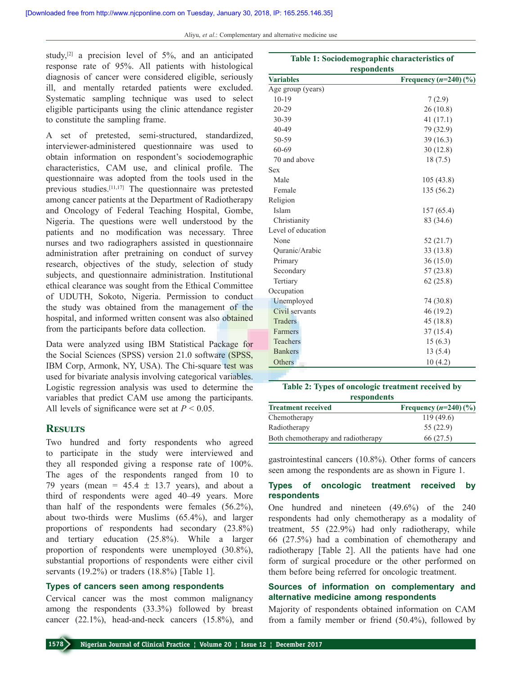Aliyu, *et al*.: Complementary and alternative medicine use

study, $[2]$  a precision level of 5%, and an anticipated response rate of 95%. All patients with histological diagnosis of cancer were considered eligible, seriously ill, and mentally retarded patients were excluded. Systematic sampling technique was used to select eligible participants using the clinic attendance register to constitute the sampling frame.

A set of pretested, semi-structured, standardized, interviewer‑administered questionnaire was used to obtain information on respondent's sociodemographic characteristics, CAM use, and clinical profile. The questionnaire was adopted from the tools used in the previous studies.[11,17] The questionnaire was pretested among cancer patients at the Department of Radiotherapy and Oncology of Federal Teaching Hospital, Gombe, Nigeria. The questions were well understood by the patients and no modification was necessary. Three nurses and two radiographers assisted in questionnaire administration after pretraining on conduct of survey research, objectives of the study, selection of study subjects, and questionnaire administration. Institutional ethical clearance was sought from the Ethical Committee of UDUTH, Sokoto, Nigeria. Permission to conduct the study was obtained from the management of the hospital, and informed written consent was also obtained from the participants before data collection.

Data were analyzed using IBM Statistical Package for the Social Sciences (SPSS) version 21.0 software (SPSS, IBM Corp, Armonk, NY, USA). The Chi-square test was used for bivariate analysis involving categorical variables. Logistic regression analysis was used to determine the variables that predict CAM use among the participants. All levels of significance were set at  $P < 0.05$ .

# **Results**

Two hundred and forty respondents who agreed to participate in the study were interviewed and they all responded giving a response rate of 100%. The ages of the respondents ranged from 10 to 79 years (mean =  $45.4 \pm 13.7$  years), and about a third of respondents were aged 40–49 years. More than half of the respondents were females (56.2%), about two-thirds were Muslims (65.4%), and larger proportions of respondents had secondary (23.8%) and tertiary education (25.8%). While a larger proportion of respondents were unemployed (30.8%), substantial proportions of respondents were either civil servants (19.2%) or traders (18.8%) [Table 1].

# **Types of cancers seen among respondents**

Cervical cancer was the most common malignancy among the respondents (33.3%) followed by breast cancer  $(22.1\%)$ , head-and-neck cancers  $(15.8\%)$ , and

| Table 1: Sociodemographic characteristics of<br>respondents |                         |  |  |  |
|-------------------------------------------------------------|-------------------------|--|--|--|
| <b>Variables</b>                                            | Frequency $(n=240)(\%)$ |  |  |  |
| Age group (years)                                           |                         |  |  |  |
| $10-19$                                                     | 7(2.9)                  |  |  |  |
| $20 - 29$                                                   | 26(10.8)                |  |  |  |
| 30-39                                                       | 41(17.1)                |  |  |  |
| 40-49                                                       | 79 (32.9)               |  |  |  |
| 50-59                                                       | 39(16.3)                |  |  |  |
| 60-69                                                       | 30(12.8)                |  |  |  |
| 70 and above                                                | 18(7.5)                 |  |  |  |
| <b>Sex</b>                                                  |                         |  |  |  |
| Male                                                        | 105(43.8)               |  |  |  |
| Female                                                      | 135 (56.2)              |  |  |  |
| Religion                                                    |                         |  |  |  |
| Islam                                                       | 157 (65.4)              |  |  |  |
| Christianity                                                | 83 (34.6)               |  |  |  |
| Level of education                                          |                         |  |  |  |
| None                                                        | 52(21.7)                |  |  |  |
| Quranic/Arabic                                              | 33(13.8)                |  |  |  |
| Primary                                                     | 36(15.0)                |  |  |  |
| Secondary                                                   | 57(23.8)                |  |  |  |
| Tertiary                                                    | 62(25.8)                |  |  |  |
| Occupation                                                  |                         |  |  |  |
| Unemployed                                                  | 74 (30.8)               |  |  |  |
| Civil servants                                              | 46 (19.2)               |  |  |  |
| <b>Traders</b>                                              | 45 (18.8)               |  |  |  |
| <b>Farmers</b>                                              | 37(15.4)                |  |  |  |
| <b>Teachers</b>                                             | 15(6.3)                 |  |  |  |
| <b>Bankers</b>                                              | 13(5.4)                 |  |  |  |
| Others                                                      | 10(4.2)                 |  |  |  |

| Table 2: Types of oncologic treatment received by |                                                           |  |  |
|---------------------------------------------------|-----------------------------------------------------------|--|--|
| respondents                                       |                                                           |  |  |
|                                                   | $F_{\text{max}}$ and an and $\left( \ldots \right)$ 40) ( |  |  |

| <b>Treatment received</b>          | Frequency $(n=240)(\%)$ |
|------------------------------------|-------------------------|
| Chemotherapy                       | 119(49.6)               |
| Radiotherapy                       | 55(22.9)                |
| Both chemotherapy and radiotherapy | 66 (27.5)               |

gastrointestinal cancers (10.8%). Other forms of cancers seen among the respondents are as shown in Figure 1.

# **Types of oncologic treatment received by respondents**

One hundred and nineteen (49.6%) of the 240 respondents had only chemotherapy as a modality of treatment, 55 (22.9%) had only radiotherapy, while 66 (27.5%) had a combination of chemotherapy and radiotherapy [Table 2]. All the patients have had one form of surgical procedure or the other performed on them before being referred for oncologic treatment.

# **Sources of information on complementary and alternative medicine among respondents**

Majority of respondents obtained information on CAM from a family member or friend (50.4%), followed by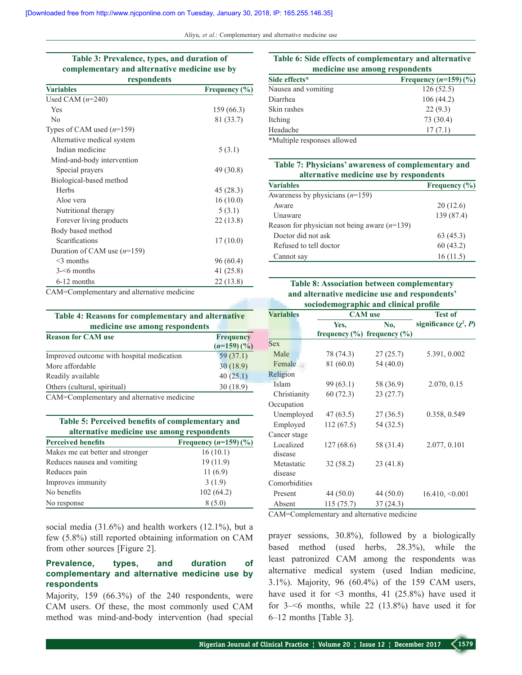Aliyu, *et al*.: Complementary and alternative medicine use

#### **Table 3: Prevalence, types, and duration of complementary and alternative medicine use by respondents**

| <b>Variables</b>              | Frequency $(\% )$ |  |  |
|-------------------------------|-------------------|--|--|
| Used CAM $(n=240)$            |                   |  |  |
| Yes                           | 159 (66.3)        |  |  |
| N <sub>0</sub>                | 81 (33.7)         |  |  |
| Types of CAM used $(n=159)$   |                   |  |  |
| Alternative medical system    |                   |  |  |
| Indian medicine               | 5(3.1)            |  |  |
| Mind-and-body intervention    |                   |  |  |
| Special prayers               | 49 (30.8)         |  |  |
| Biological-based method       |                   |  |  |
| <b>Herbs</b>                  | 45 (28.3)         |  |  |
| Aloe vera                     | 16(10.0)          |  |  |
| Nutritional therapy           | 5(3.1)            |  |  |
| Forever living products       | 22(13.8)          |  |  |
| Body based method             |                   |  |  |
| Scarifications                | 17(10.0)          |  |  |
| Duration of CAM use $(n=159)$ |                   |  |  |
| $\leq$ 3 months               | 96 (60.4)         |  |  |
| $3 - 6$ months                | 41 (25.8)         |  |  |
| 6-12 months                   | 22(13.8)          |  |  |

CAM=Complementary and alternative medicine

# **Table 4: Reasons for complementary and alternative medicine use among respondents**

| <b>Reason for CAM use</b>                 | <b>Frequency</b> |  |
|-------------------------------------------|------------------|--|
|                                           | $(n=159)(\%)$    |  |
| Improved outcome with hospital medication | 59 (37.1)        |  |
| More affordable                           | 30(18.9)         |  |
| Readily available                         | 40(25.1)         |  |
| Others (cultural, spiritual)              | 30(18.9)         |  |

CAM=Complementary and alternative medicine

#### **Table 5: Perceived benefits of complementary and alternative medicine use among respondents**

| <b>Perceived benefits</b>        | Frequency $(n=159)(\%)$ |
|----------------------------------|-------------------------|
| Makes me eat better and stronger | 16(10.1)                |
| Reduces nausea and vomiting      | 19(11.9)                |
| Reduces pain                     | 11(6.9)                 |
| Improves immunity                | 3(1.9)                  |
| No benefits                      | 102(64.2)               |
| No response                      | 8(5.0)                  |

social media (31.6%) and health workers (12.1%), but a few (5.8%) still reported obtaining information on CAM from other sources [Figure 2].

# **Prevalence, types, and duration of complementary and alternative medicine use by respondents**

Majority, 159 (66.3%) of the 240 respondents, were CAM users. Of these, the most commonly used CAM method was mind-and-body intervention (had special

# **Table 6: Side effects of complementary and alternative medicine use among respondents**

| Side effects*       | Frequency $(n=159)(\%)$ |
|---------------------|-------------------------|
| Nausea and vomiting | 126(52.5)               |
| Diarrhea            | 106(44.2)               |
| Skin rashes         | 22(9.3)                 |
| Itching             | 73 (30.4)               |
| Headache            | 17(7.1)                 |
| $\blacksquare$      |                         |

\*Multiple responses allowed

#### **Table 7: Physicians' awareness of complementary and alternative medicine use by respondents**

| <b>Variables</b>                               | Frequency $(\% )$ |  |
|------------------------------------------------|-------------------|--|
| Awareness by physicians $(n=159)$              |                   |  |
| Aware                                          | 20(12.6)          |  |
| <b>Unaware</b>                                 | 139 (87.4)        |  |
| Reason for physician not being aware $(n=139)$ |                   |  |
| Doctor did not ask                             | 63(45.3)          |  |
| Refused to tell doctor                         | 60(43.2)          |  |
| Cannot say                                     | 16(11.5)          |  |

# **Table 8: Association between complementary and alternative medicine use and respondents' sociodemographic and clinical profile**

| <b>Variables</b>      | <b>CAM</b> use                      | <b>Test of</b> |                            |  |  |
|-----------------------|-------------------------------------|----------------|----------------------------|--|--|
|                       | Yes,                                | No.            | significance $(\chi^2, P)$ |  |  |
|                       | frequency $(\% )$ frequency $(\% )$ |                |                            |  |  |
| <b>Sex</b>            |                                     |                |                            |  |  |
| Male                  | 78 (74.3)                           | 27(25.7)       | 5.391, 0.002               |  |  |
| Female                | 81 (60.0)                           | 54 (40.0)      |                            |  |  |
| Religion              |                                     |                |                            |  |  |
| Islam                 | 99(63.1)                            | 58 (36.9)      | 2.070, 0.15                |  |  |
| Christianity          | 60(72.3)                            | 23 (27.7)      |                            |  |  |
| Occupation            |                                     |                |                            |  |  |
| Unemployed            | 47(63.5)                            | 27 (36.5)      | 0.358, 0.549               |  |  |
| Employed              | 112(67.5)                           | 54 (32.5)      |                            |  |  |
| Cancer stage          |                                     |                |                            |  |  |
| Localized<br>disease  | 127 (68.6)                          | 58 (31.4)      | 2.077, 0.101               |  |  |
| Metastatic<br>disease | 32(58.2)                            | 23 (41.8)      |                            |  |  |
| Comorbidities         |                                     |                |                            |  |  |
| Present               | 44(50.0)                            | 44 (50.0)      | $16.410, \le 0.001$        |  |  |
| Absent                | 115 (75.7)                          | 37(24.3)       |                            |  |  |

CAM=Complementary and alternative medicine

prayer sessions, 30.8%), followed by a biologically based method (used herbs, 28.3%), while the least patronized CAM among the respondents was alternative medical system (used Indian medicine, 3.1%). Majority, 96 (60.4%) of the 159 CAM users, have used it for  $\leq$ 3 months, 41 (25.8%) have used it for 3–<6 months, while 22 (13.8%) have used it for 6–12 months [Table 3].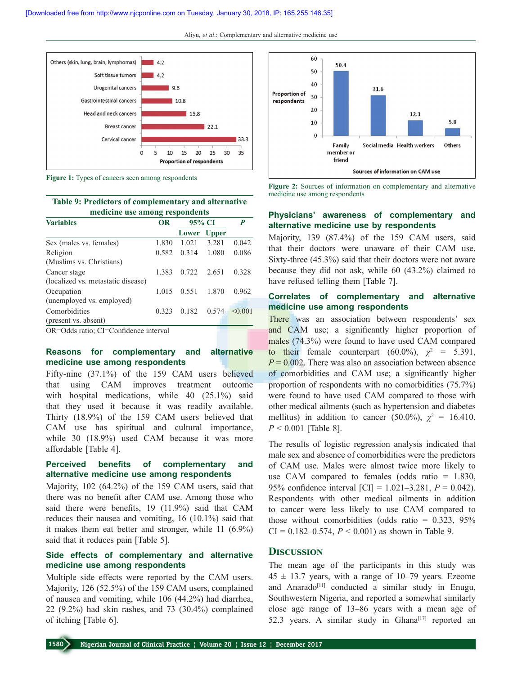

**Figure 1:** Types of cancers seen among respondents

**Table 9: Predictors of complementary and alternative medicine use among respondents**

| <b>Variables</b>                   | 95% CI<br><b>OR</b> |               |              | P       |  |
|------------------------------------|---------------------|---------------|--------------|---------|--|
|                                    |                     | Lower         | <b>Upper</b> |         |  |
| Sex (males vs. females)            | 1.830               | 1.021         | 3.281        | 0.042   |  |
| Religion                           | 0.582               | 0.314         | 1.080        | 0.086   |  |
| (Muslims vs. Christians)           |                     |               |              |         |  |
| Cancer stage                       | 1.383               | $0.722$ 2.651 |              | 0.328   |  |
| (localized vs. metastatic disease) |                     |               |              |         |  |
| Occupation                         | 1.015               | 0.551         | 1.870        | 0.962   |  |
| (unemployed vs. employed)          |                     |               |              |         |  |
| Comorbidities                      | 0.323               | 0.182         | 0.574        | < 0.001 |  |
| (present vs. absent)               |                     |               |              |         |  |

OR=Odds ratio; CI=Confidence interval

# **Reasons for complementary and alternative medicine use among respondents**

Fifty-nine (37.1%) of the 159 CAM users believed that using CAM improves treatment outcome with hospital medications, while 40 (25.1%) said that they used it because it was readily available. Thirty (18.9%) of the 159 CAM users believed that CAM use has spiritual and cultural importance, while 30 (18.9%) used CAM because it was more affordable [Table 4].

#### **Perceived benefits of complementary and alternative medicine use among respondents**

Majority, 102 (64.2%) of the 159 CAM users, said that there was no benefit after CAM use. Among those who said there were benefits, 19 (11.9%) said that CAM reduces their nausea and vomiting, 16 (10.1%) said that it makes them eat better and stronger, while 11 (6.9%) said that it reduces pain [Table 5].

# **Side effects of complementary and alternative medicine use among respondents**

Multiple side effects were reported by the CAM users. Majority, 126 (52.5%) of the 159 CAM users, complained of nausea and vomiting, while 106 (44.2%) had diarrhea, 22 (9.2%) had skin rashes, and 73 (30.4%) complained of itching [Table 6].



**Figure 2:** Sources of information on complementary and alternative medicine use among respondents

# **Physicians' awareness of complementary and alternative medicine use by respondents**

Majority, 139 (87.4%) of the 159 CAM users, said that their doctors were unaware of their CAM use. Sixty-three  $(45.3\%)$  said that their doctors were not aware because they did not ask, while 60 (43.2%) claimed to have refused telling them [Table 7].

# **Correlates of complementary and alternative medicine use among respondents**

There was an association between respondents' sex and CAM use; a significantly higher proportion of males (74.3%) were found to have used CAM compared to their female counterpart (60.0%),  $\chi^2$  = 5.391,  $P = 0.002$ . There was also an association between absence of comorbidities and CAM use; a significantly higher proportion of respondents with no comorbidities (75.7%) were found to have used CAM compared to those with other medical ailments (such as hypertension and diabetes mellitus) in addition to cancer (50.0%),  $\chi^2 = 16.410$ , *P* < 0.001 [Table 8].

The results of logistic regression analysis indicated that male sex and absence of comorbidities were the predictors of CAM use. Males were almost twice more likely to use CAM compared to females (odds ratio  $= 1.830$ , 95% confidence interval [CI] = 1.021–3.281, *P* = 0.042). Respondents with other medical ailments in addition to cancer were less likely to use CAM compared to those without comorbidities (odds ratio =  $0.323$ ,  $95\%$  $CI = 0.182 - 0.574$ ,  $P < 0.001$ ) as shown in Table 9.

#### **Discussion**

The mean age of the participants in this study was  $45 \pm 13.7$  years, with a range of 10–79 years. Ezeome and Anarado<sup>[11]</sup> conducted a similar study in Enugu, Southwestern Nigeria, and reported a somewhat similarly close age range of 13–86 years with a mean age of 52.3 years. A similar study in Ghana $[17]$  reported an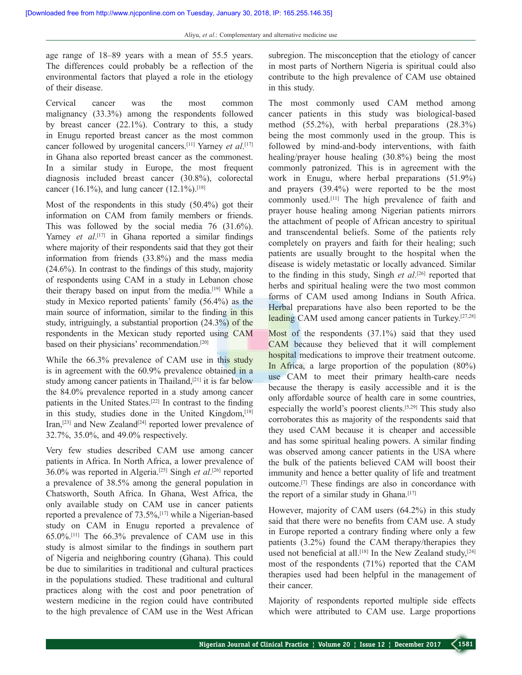age range of 18–89 years with a mean of 55.5 years. The differences could probably be a reflection of the environmental factors that played a role in the etiology of their disease.

Cervical cancer was the most common malignancy (33.3%) among the respondents followed by breast cancer (22.1%). Contrary to this, a study in Enugu reported breast cancer as the most common cancer followed by urogenital cancers.[11] Yarney *et al*. [17] in Ghana also reported breast cancer as the commonest. In a similar study in Europe, the most frequent diagnosis included breast cancer (30.8%), colorectal cancer (16.1%), and lung cancer (12.1%).<sup>[18]</sup>

Most of the respondents in this study (50.4%) got their information on CAM from family members or friends. This was followed by the social media 76 (31.6%). Yarney *et al*.<sup>[17]</sup> in Ghana reported a similar findings where majority of their respondents said that they got their information from friends (33.8%) and the mass media (24.6%). In contrast to the findings of this study, majority of respondents using CAM in a study in Lebanon chose their therapy based on input from the media.[19] While a study in Mexico reported patients' family (56.4%) as the main source of information, similar to the finding in this study, intriguingly, a substantial proportion (24.3%) of the respondents in the Mexican study reported using CAM based on their physicians' recommendation.[20]

While the 66.3% prevalence of CAM use in this study is in agreement with the 60.9% prevalence obtained in a study among cancer patients in Thailand,<sup>[21]</sup> it is far below the 84.0% prevalence reported in a study among cancer patients in the United States.[22] In contrast to the finding in this study, studies done in the United Kingdom,<sup>[18]</sup> Iran,<sup>[23]</sup> and New Zealand<sup>[24]</sup> reported lower prevalence of 32.7%, 35.0%, and 49.0% respectively.

Very few studies described CAM use among cancer patients in Africa. In North Africa, a lower prevalence of 36.0% was reported in Algeria.[25] Singh *et al*. [26] reported a prevalence of 38.5% among the general population in Chatsworth, South Africa. In Ghana, West Africa, the only available study on CAM use in cancer patients reported a prevalence of  $73.5\%$ ,  $[17]$  while a Nigerian-based study on CAM in Enugu reported a prevalence of 65.0%.[11] The 66.3% prevalence of CAM use in this study is almost similar to the findings in southern part of Nigeria and neighboring country (Ghana). This could be due to similarities in traditional and cultural practices in the populations studied. These traditional and cultural practices along with the cost and poor penetration of western medicine in the region could have contributed to the high prevalence of CAM use in the West African

subregion. The misconception that the etiology of cancer in most parts of Northern Nigeria is spiritual could also contribute to the high prevalence of CAM use obtained in this study.

The most commonly used CAM method among cancer patients in this study was biological-based method (55.2%), with herbal preparations (28.3%) being the most commonly used in the group. This is followed by mind-and-body interventions, with faith healing/prayer house healing (30.8%) being the most commonly patronized. This is in agreement with the work in Enugu, where herbal preparations (51.9%) and prayers (39.4%) were reported to be the most commonly used.[11] The high prevalence of faith and prayer house healing among Nigerian patients mirrors the attachment of people of African ancestry to spiritual and transcendental beliefs. Some of the patients rely completely on prayers and faith for their healing; such patients are usually brought to the hospital when the disease is widely metastatic or locally advanced. Similar to the finding in this study, Singh *et al*. [26] reported that herbs and spiritual healing were the two most common forms of CAM used among Indians in South Africa. Herbal preparations have also been reported to be the leading CAM used among cancer patients in Turkey.[27,28]

Most of the respondents (37.1%) said that they used CAM because they believed that it will complement hospital medications to improve their treatment outcome. In Africa, a large proportion of the population (80%) use CAM to meet their primary health-care needs because the therapy is easily accessible and it is the only affordable source of health care in some countries, especially the world's poorest clients.[5,29] This study also corroborates this as majority of the respondents said that they used CAM because it is cheaper and accessible and has some spiritual healing powers. A similar finding was observed among cancer patients in the USA where the bulk of the patients believed CAM will boost their immunity and hence a better quality of life and treatment outcome.[7] These findings are also in concordance with the report of a similar study in Ghana.<sup>[17]</sup>

However, majority of CAM users (64.2%) in this study said that there were no benefits from CAM use. A study in Europe reported a contrary finding where only a few patients (3.2%) found the CAM therapy/therapies they used not beneficial at all.<sup>[18]</sup> In the New Zealand study,<sup>[24]</sup> most of the respondents (71%) reported that the CAM therapies used had been helpful in the management of their cancer.

Majority of respondents reported multiple side effects which were attributed to CAM use. Large proportions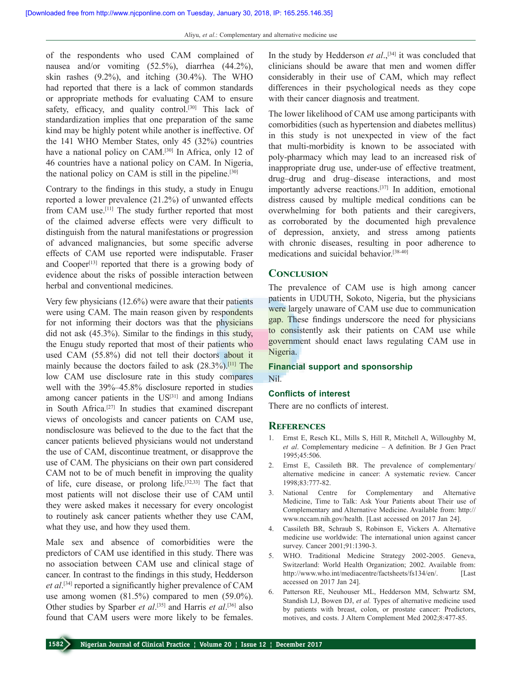of the respondents who used CAM complained of nausea and/or vomiting (52.5%), diarrhea (44.2%), skin rashes (9.2%), and itching (30.4%). The WHO had reported that there is a lack of common standards or appropriate methods for evaluating CAM to ensure safety, efficacy, and quality control.<sup>[30]</sup> This lack of standardization implies that one preparation of the same kind may be highly potent while another is ineffective. Of the 141 WHO Member States, only 45 (32%) countries have a national policy on CAM.<sup>[30]</sup> In Africa, only 12 of 46 countries have a national policy on CAM. In Nigeria, the national policy on CAM is still in the pipeline.<sup>[30]</sup>

Contrary to the findings in this study, a study in Enugu reported a lower prevalence (21.2%) of unwanted effects from CAM use.<sup>[11]</sup> The study further reported that most of the claimed adverse effects were very difficult to distinguish from the natural manifestations or progression of advanced malignancies, but some specific adverse effects of CAM use reported were indisputable. Fraser and Cooper<sup>[13]</sup> reported that there is a growing body of evidence about the risks of possible interaction between herbal and conventional medicines.

Very few physicians (12.6%) were aware that their patients were using CAM. The main reason given by respondents for not informing their doctors was that the physicians did not ask (45.3%). Similar to the findings in this study, the Enugu study reported that most of their patients who used CAM (55.8%) did not tell their doctors about it mainly because the doctors failed to ask  $(28.3\%)$ .<sup>[11]</sup> The low CAM use disclosure rate in this study compares well with the 39%–45.8% disclosure reported in studies among cancer patients in the US<sup>[31]</sup> and among Indians in South Africa.[27] In studies that examined discrepant views of oncologists and cancer patients on CAM use, nondisclosure was believed to the due to the fact that the cancer patients believed physicians would not understand the use of CAM, discontinue treatment, or disapprove the use of CAM. The physicians on their own part considered CAM not to be of much benefit in improving the quality of life, cure disease, or prolong life.[32,33] The fact that most patients will not disclose their use of CAM until they were asked makes it necessary for every oncologist to routinely ask cancer patients whether they use CAM, what they use, and how they used them.

Male sex and absence of comorbidities were the predictors of CAM use identified in this study. There was no association between CAM use and clinical stage of cancer. In contrast to the findings in this study, Hedderson *et al*. [34] reported a significantly higher prevalence of CAM use among women (81.5%) compared to men (59.0%). Other studies by Sparber *et al*. [35] and Harris *et al*. [36] also found that CAM users were more likely to be females.

In the study by Hedderson *et al*.<sup>[34]</sup> it was concluded that clinicians should be aware that men and women differ considerably in their use of CAM, which may reflect differences in their psychological needs as they cope with their cancer diagnosis and treatment.

The lower likelihood of CAM use among participants with comorbidities (such as hypertension and diabetes mellitus) in this study is not unexpected in view of the fact that multi‑morbidity is known to be associated with poly‑pharmacy which may lead to an increased risk of inappropriate drug use, under-use of effective treatment, drug–drug and drug–disease interactions, and most importantly adverse reactions.[37] In addition, emotional distress caused by multiple medical conditions can be overwhelming for both patients and their caregivers, as corroborated by the documented high prevalence of depression, anxiety, and stress among patients with chronic diseases, resulting in poor adherence to medications and suicidal behavior.[38‑40]

#### **Conclusion**

The prevalence of CAM use is high among cancer patients in UDUTH, Sokoto, Nigeria, but the physicians were largely unaware of CAM use due to communication gap. These findings underscore the need for physicians to consistently ask their patients on CAM use while government should enact laws regulating CAM use in Nigeria.

#### **Financial support and sponsorship** Nil.

#### **Conflicts of interest**

There are no conflicts of interest.

#### **References**

- 1. Ernst E, Resch KL, Mills S, Hill R, Mitchell A, Willoughby M, *et al*. Complementary medicine – A definition. Br J Gen Pract 1995;45:506.
- 2. Ernst E, Cassileth BR. The prevalence of complementary/ alternative medicine in cancer: A systematic review. Cancer 1998;83:777‑82.
- 3. National Centre for Complementary and Alternative Medicine, Time to Talk: Ask Your Patients about Their use of Complementary and Alternative Medicine. Available from: http:// www.nccam.nih.gov/health. [Last accessed on 2017 Jan 24].
- 4. Cassileth BR, Schraub S, Robinson E, Vickers A. Alternative medicine use worldwide: The international union against cancer survey. Cancer 2001;91:1390-3.
- 5. WHO. Traditional Medicine Strategy 2002-2005. Geneva, Switzerland: World Health Organization; 2002. Available from: http://www.who.int/mediacentre/factsheets/fs134/en/. [Last] accessed on 2017 Jan 24].
- 6. Patterson RE, Neuhouser ML, Hedderson MM, Schwartz SM, Standish LJ, Bowen DJ, *et al.* Types of alternative medicine used by patients with breast, colon, or prostate cancer: Predictors, motives, and costs. J Altern Complement Med 2002;8:477‑85.